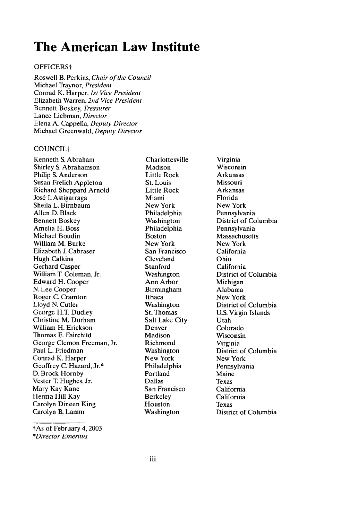# **The American Law Institute**

## OFFICERSt

Roswell B. Perkins, *Chair of the Council* Michael Traynor, *President* Conrad K. Harper, *1st Vice President* Elizabeth Warren, *2nd Vice President* Bennett Boskey, *Treasurer* Lance Liebman, *Director* Elena A. Cappella, *Deputy Director* Michael Greenwald, *Deputy Director*

## COUNCILt

Kenneth S. Abraham Shirley S. Abrahamson Philip S. Anderson Susan Frelich Appleton Richard Sheppard Arnold José I. Astigarraga Sheila L. Birnbaum Allen D. Black Bennett Boskey Amelia H. Boss Michael Boudin William M. Burke Elizabeth J. Cabraser Hugh Calkins Gerhard Casper William T. Coleman, Jr. Edward H. Cooper N. Lee Cooper Roger C. Cramton Lloyd N. Cutler George H.T. Dudley Christine M. Durham William H. Erickson Thomas E. Fairchild George Clemon Freeman, Jr. Paul L. Friedman Conrad K. Harper Geoffrey C. Hazard, Jr.\* D. Brock Hornby Vester T. Hughes, Jr. Mary Kay Kane Herma Hill Kay Carolyn Dineen King Carolyn B. Lamm

Charlottesville **Madison** Little Rock St. Louis Little Rock Miami New York Philadelphia Washington Philadelphia Boston New York San Francisco Cleveland Stanford **Washington** Ann Arbor Birmingham Ithaca Washington St. Thomas Salt Lake City Denver Madison Richmond Washington New York Philadelphia Portland Dallas San Francisco Berkeley Houston Washington

Virginia Wisconsin Arkansas Missouri Arkansas Florida New York Pennsylvania District of Columbia Pennsylvania **Massachusetts** New York California Ohio California District of Columbia Michigan Alabama New York District of Columbia U.S. Virgin Islands Utah Colorado Wisconsin Virginia District of Columbia New York Pennsylvania Maine Texas California California Texas District of Columbia

lAs of February 4,2003 *\*Director Emeritus*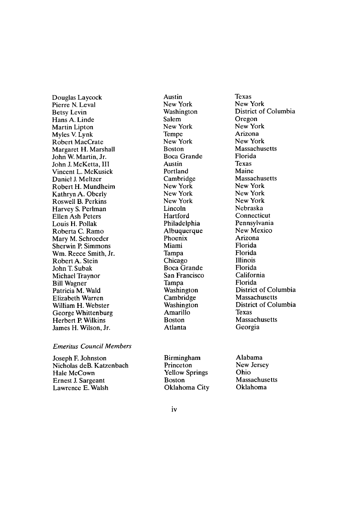Douglas Laycock Pierre N. Leval Betsy Levin Hans A. Linde Martin Lipton Myles V. Lynk Robert MacCrate Margaret H. Marshall John W. Martin, Jr. John J. McKetta, III Vincent L. McKusick Daniel J. Meltzer Robert H. Mundheim Kathryn A. Oberly Roswell B. Perkins Harvey S. Perlman Ellen Ash Peters Louis H. Pollak Roberta C. Ramo Mary M. Schroeder Sherwin P. Simmons Wm. Reece Smith, Jr. Robert A. Stein John T. Subak Michael Traynor Bill Wagner Patricia M. Wald Elizabeth Warren William H. Webster George Whittenburg Herbert P. Wilkins James H. Wilson, Jr.

#### *Emeritus Council Members*

Joseph F. Johnston Nicholas deB. Katzenbach Hale McCown Ernest J. Sargeant Lawrence E. Walsh

Austin New York Washington Salem New York Tempe New York Boston Boca Grande Austin Portland Cambridge New York New York New York Lincoln **Hartford** Philadelphia Albuquerque Phoenix Miami Tampa Chicago Boca Grande San Francisco Tampa Washington Cambridge **Washington** Amarillo Boston Atlanta

Texas New York District of Columbia Oregon New York Arizona New York Massachusetts Florida Texas Maine Massachusetts New York New York New York Nebraska **Connecticut** Pennsylvania New Mexico Arizona Florida Florida Illinois Florida California Florida District of Columbia Massachusetts District of Columbia Texas Massachusetts Georgia

Birmingham Princeton Yellow Springs Boston Oklahoma City Alabama New Jersey Ohio Massachusetts Oklahoma

iv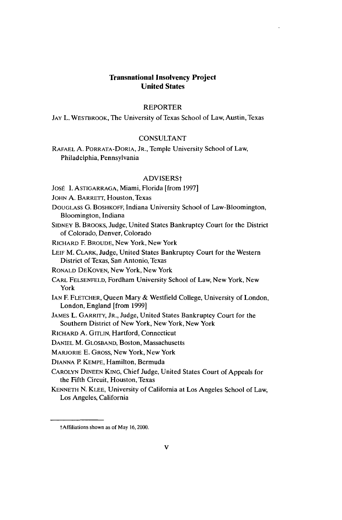## **Transnational Insolvency Project United States**

#### REPORTER

**JAY** L. WESTBROOK, The University of Texas School of Law, Austin, Texas

#### CONSULTANT

RAFAEL A. PORRATA-DORIA, JR., Temple University School of Law, Philadelphia, Pennsylvania

#### ADVISERSt

JOSÉ I. ASTIGARRAGA, Miami, Florida [from 1997]

JOHN A. BARRETT, Houston, Texas

- DOUGLASS G. BOSHKOFF, Indiana University School of Law-Bloomington, Bloomington, Indiana
- SIDNEY B. BROOKS, Judge, United States Bankruptcy Court for the District of Colorado, Denver, Colorado

RICHARD F. BROUDE, New York, New York

- **LEIF** M. CLARK, Judge, United States Bankruptcy Court for the Western District of Texas, San Antonio, Texas
- RONALD DEKOVEN, New York, New York
- CARL **FELSENFELD,** Fordham University School of Law, New York, New York
- **IAN** E FLETCHER, Queen Mary & Westfield College, University of London, London, England [from 1999]
- JAMES L. GARRITY, JR., Judge, United States Bankruptcy Court for the Southern District of New York, New York, New York
- RICHARD A. GITLIN, Hartford, Connecticut
- DANIEL M. **GLOSBAND,** Boston, Massachusetts
- MARJORIE E. GROSS, New York, New York
- DIANNA P. KEMPE, Hamilton, Bermuda
- CAROLYN DINEEN KING, Chief Judge, United States Court of Appeals for the Fifth Circuit, Houston, Texas
- KENNETH N. KLEE, University of California at Los Angeles School of Law, Los Angeles, California

tAffiliations shown as of May 16,2000.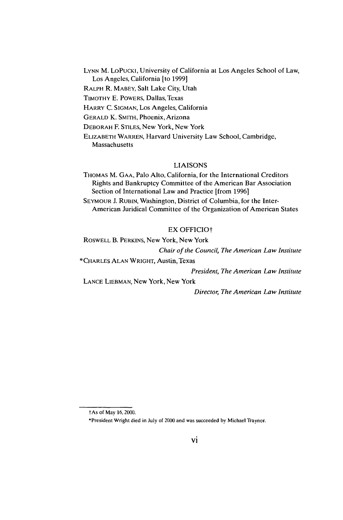**LYNN** M. LoPUCKI, University of California at Los Angeles School of Law, Los Angeles, California [to 1999]

RALPH R. MABEY, Salt Lake City, Utah

TIMOTHY **E.** POWERS, Dallas, Texas

HARRY C. SIGMAN, Los Angeles, California

GERALD K. SMITH, Phoenix, Arizona

DEBORAH F. STILES, New York, New York

ELIZABETH WARREN, Harvard University Law School, Cambridge, **Massachusetts** 

#### LIAISONS

THOMAS M. GAA, Palo Alto, California, for the International Creditors Rights and Bankruptcy Committee of the American Bar Association Section of International Law and Practice [from 1996]

SEYMOUR J. RUBIN, Washington, District of Columbia, for the Inter-American Juridical Committee of the Organization of American States

### EX OFFICIO

ROSWELL B. PERKINS, New York, New York

*Chair of the Council, The American Law Institute*

\*CHARLES ALAN WRIGHT, Austin, Texas

*President, The American Law Institute*

LANCE LIEBMAN, New York, New York

*Director, The American Law Institute*

tAs of May 16,2000.

<sup>\*</sup>President Wright died in July of 2000 and was succeeded by Michael Traynor.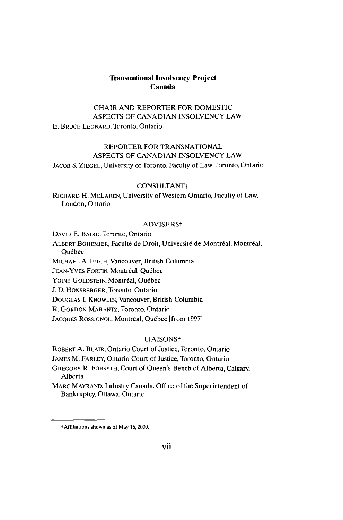## **Transnational Insolvency Project Canada**

## CHAIR AND REPORTER FOR DOMESTIC **ASPECTS** OF **CANADIAN INSOLVENCY** LAW **E.** BRUCE LEONARD, Toronto, Ontario

## REPORTER FOR **TRANSNATIONAL ASPECTS** OF **CANADIAN INSOLVENCY** LAW

**JACOB S. ZIEGEL,** University of Toronto, Faculty of Law, Toronto, Ontario

#### **CONSULTANTt**

RICHARD H. MCLAREN, University of Western Ontario, Faculty of Law, London, Ontario

#### ADVISERSt

DAVID **E.** BAIRD, Toronto, Ontario

ALBERT BOHEMIER, Faculté de Droit, Université de Montréal, Montréal, **Ouébec** 

**MICHAEL A.** FITCH, Vancouver, British Columbia

JEAN-YVES FORTIN, Montréal, Québec

YOINE GOLDSTEIN, Montréal, Québec

J. **D.** HONSBERGER, Toronto, Ontario

DOUGLAS I. KNOWLES, Vancouver, British Columbia

R. GORDON MARANTZ, Toronto, Ontario

JACQUES ROSSIGNOL, Montréal, Québec [from 1997]

#### LIAISONS<sup>+</sup>

ROBERT A. BLAIR, Ontario Court of Justice, Toronto, Ontario

JAMES M. FARLEY, Ontario Court of Justice, Toronto, Ontario

GREGORY R. FORSYTH, Court of Queen's Bench of Alberta, Calgary, Alberta

MARC MAYRAND, Industry Canada, Office of the Superintendent of Bankruptcy, Ottawa, Ontario

tAffilialions shown as of May **16,** 2000.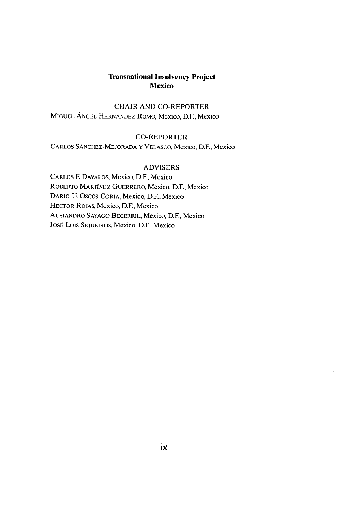## **Transnational Insolvency Project Mexico**

CHAIR AND CO-REPORTER MIGUEL ANGEL HERNANDEZ RoMo, Mexico, D.E, Mexico

## CO-REPORTER

CARLOS SANCHEZ-MEJORADA Y VELASCO, Mexico, D.E, Mexico

### ADVISERS

CARLOS F. DAVALOS, Mexico, D.F., Mexico ROBERTO MARTfNEZ GUERRERO, Mexico, D.E, Mexico DARIO U. Oscds CORIA, Mexico, D.F., Mexico HECTOR ROJAS, Mexico, D.E, Mexico ALEJANDRO SAYAGO BECERRIL, Mexico, D.E, Mexico Jost Luis SIQUEIROS, Mexico, D.E, Mexico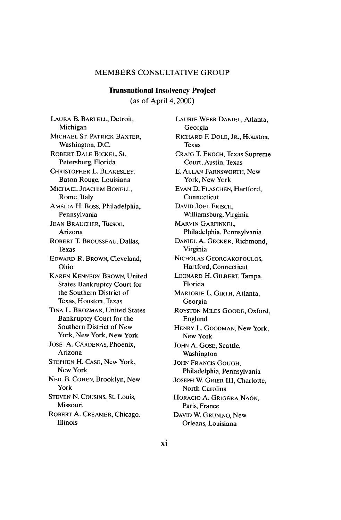### MEMBERS **CONSULTATIVE** GROUP

## **Transnational Insolvency Project** (as of April 4,2000)

**LAURA** B. BARTELL, Detroit, Michigan **MICHAEL ST.** PATRICK BAXTER, Washington, **D.C.** ROBERT **DALE** BICKEL, St. Petersburg, Florida CHRISTOPHER L. BLAKESLEY, Baton Rouge, Louisiana MICHAEL JOACHIM **BONELL,** Rome, Italy **AMELIA** H. Boss, Philadelphia, Pennsylvania **JEAN** BRAUCHER, Tucson, Arizona ROBERT T. BROUSSEAU, Dallas, Texas EDWARD R. BROWN, Cleveland, Ohio KAREN **KENNEDY** BROWN, United States Bankruptcy Court for the Southern District of Texas, Houston, Texas TINA L. BROZMAN, United States Bankruptcy Court for the Southern District of New York, New York, New York José A. Cárdenas, Phoenix, Arizona **STEPHEN** H. **CASE,** New York, New York **NEIL** B. COHEN, Brooklyn, New York **STEVEN N. COUSINS,** St. Louis, Missouri ROBERT **A.** CREAMER, Chicago, Illinois

LAURIE WEBB DANIEL, Atlanta, Georgia RICHARD F. DOLE, JR., Houston, Texas CRAIG T. ENOCH, Texas Supreme Court, Austin, Texas E. ALLAN FARNSWORTH, New York, New York EVAN D. FLASCHEN, Hartford, **Connecticut** DAVID JOEL FRISCH, Williamsburg, Virginia MARVIN GARFINKEL, Philadelphia, Pennsylvania DANIEL A. GECKER, Richmond, Virginia NICHOLAS GEORGAKOPOULOS, Hartford, Connecticut LEONARD H. GILBERT, Tampa, Florida MARJORIE L. GIRTH, Atlanta, Georgia ROYSTON MILES GOODE, Oxford, England HENRY L. GOODMAN, New York, New York JOHN A. GOSE, Seattle, Washington JOHN FRANCIS GOUGH, Philadelphia, Pennsylvania JOSEPH W. GRIER III, Charlotte, North Carolina HORACIO A. GRIGERA NAON, Paris, France DAVID W. GRUNING, New Orleans, Louisiana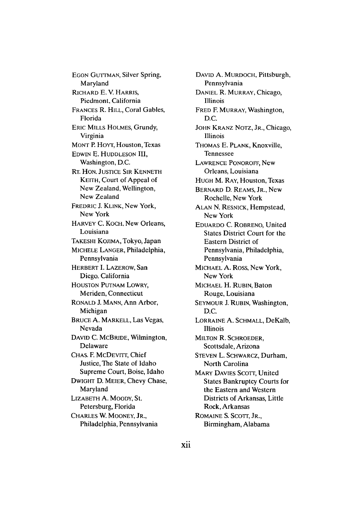EGON GUTTMAN, Silver Spring, Maryland RICHARD E. V. HARRIS, Piedmont, California FRANCES R. HILL, Coral Gables, Florida ERIC MILLS HOLMES, Grundy, Virginia MONT P. HOYT, Houston, Texas EDWIN **E. HUDDLESON** III, Washington, **D.C.** RT. HON. JUSTICE SIR KENNETH KEITH, Court of Appeal of New Zealand, Wellington, New Zealand FREDRIC J. KLINK, New York, New York HARVEY C. KOCH, New Orleans, Louisiana TAKESHI KOJIMA, Tokyo, Japan MICHELE LANGER, Philadelphia, Pennsylvania HERBERT I. LAZEROW, San Diego. California **HOUSTON** PUTNAM LOWRY, Meriden, Connecticut RONALD **J. MANN,** Ann Arbor, Michigan BRUCE A. MARKELL, Las Vegas, Nevada **DAVID C.** MCBRIDE, Wilmington, Delaware CHAS. F. McDEVITT, Chief Justice, The State of Idaho Supreme Court, Boise, Idaho DWIGHT D. MEIER, Chevy Chase, Maryland LIZABETH A. MOODY, St. Petersburg, Florida CHARLES W. MOONEY, JR., Philadelphia, Pennsylvania

DAVID **A.** MURDOCH, Pittsburgh, Pennsylvania **DANIEL** R. MURRAY, Chicago, Illinois FRED F. MURRAY, Washington, **D.C. JOHN** KRANZ NOTZ, JR., Chicago, Illinois THOMAS **E.** PLANK, Knoxville, Tennessee LAWRENCE PONOROFF, New Orleans, Louisiana HUGH M. RAY, Houston, Texas BERNARD **D.** REAMS, JR., New Rochelle, New York **ALAN N.** RESNICK, Hempstead, New York **EDUARDO C.** ROBRENO, United States District Court for the Eastern District of Pennsylvania, Philadelphia, Pennsylvania MICHAEL **A.** Ross, New York, New York MICHAEL H. RUBIN, Baton Rouge, Louisiana SEYMOUR **J.** RUBIN, Washington, **D.C.** LORRAINE **A. SCHMALL,** DeKalb, Illinois **MILTON** R. SCHROEDER, Scottsdale, Arizona **STEVEN** L. SCHWARCZ, Durham, North Carolina MARY DAVIES **SCOTT,** United States Bankruptcy Courts for the Eastern and Western Districts of Arkansas, Little Rock, Arkansas ROMAINE **S. SCOTT,** JR., Birmingham, Alabama